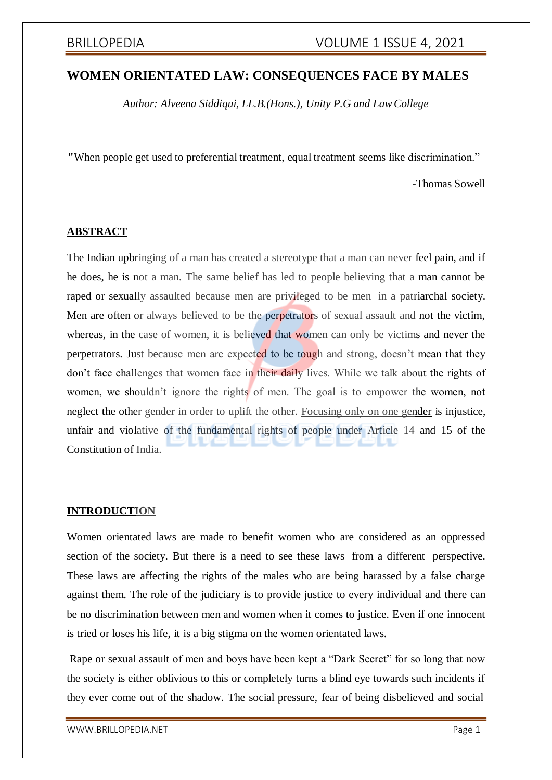# **WOMEN ORIENTATED LAW: CONSEQUENCES FACE BY MALES**

*Author: Alveena Siddiqui, LL.B.(Hons.), Unity P.G and LawCollege*

**"**When people get used to preferential treatment, equal treatment seems like discrimination."

-Thomas Sowell

# **ABSTRACT**

The Indian upbringing of a man has created a stereotype that a man can never feel pain, and if he does, he is not a man. The same belief has led to people believing that a man cannot be raped or sexually assaulted because men are privileged to be men in a patriarchal society. Men are often or always believed to be the perpetrators of sexual assault and not the victim, whereas, in the case of women, it is believed that women can only be victims and never the perpetrators. Just because men are expected to be tough and strong, doesn't mean that they don't face challenges that women face in their daily lives. While we talk about the rights of women, we shouldn't ignore the rights of men. The goal is to empower the women, not neglect the other gender in order to uplift the other. Focusing only on one gender is injustice, unfair and violative of the fundamental rights of people under Article 14 and 15 of the Constitution of India.

### **INTRODUCTION**

Women orientated laws are made to benefit women who are considered as an oppressed section of the society. But there is a need to see these laws from a different perspective. These laws are affecting the rights of the males who are being harassed by a false charge against them. The role of the judiciary is to provide justice to every individual and there can be no discrimination between men and women when it comes to justice. Even if one innocent is tried or loses his life, it is a big stigma on the women orientated laws.

Rape or sexual assault of men and boys have been kept a "Dark Secret" for so long that now the society is either oblivious to this or completely turns a blind eye towards such incidents if they ever come out of the shadow. The social pressure, fear of being disbelieved and social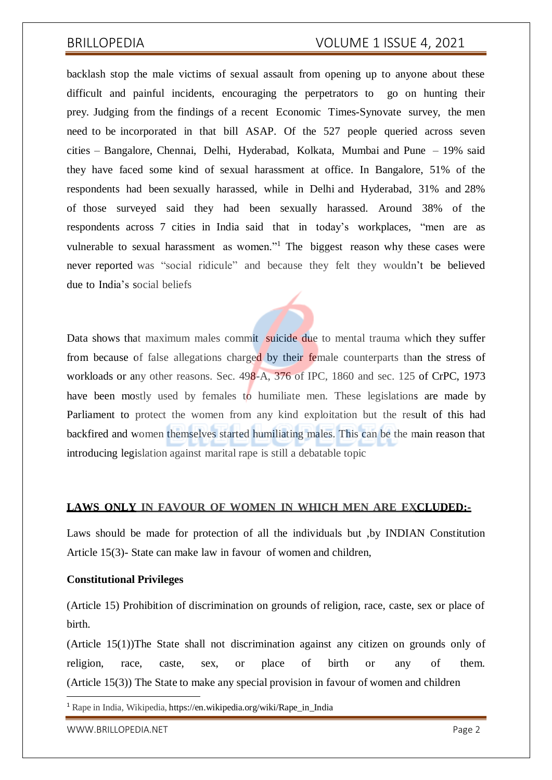backlash stop the male victims of sexual assault from opening up to anyone about these difficult and painful incidents, encouraging the perpetrators to go on hunting their prey. Judging from the findings of a recent Economic Times-Synovate survey, the men need to be incorporated in that bill ASAP. Of the 527 people queried across seven cities – Bangalore, Chennai, Delhi, Hyderabad, Kolkata, Mumbai and Pune – 19% said they have faced some kind of sexual harassment at office. In Bangalore, 51% of the respondents had been sexually harassed, while in Delhi and Hyderabad, 31% and 28% of those surveyed said they had been sexually harassed. Around 38% of the respondents across 7 cities in India said that in today's workplaces, "men are as vulnerable to sexual harassment as women."<sup>1</sup> The biggest reason why these cases were never reported was "social ridicule" and because they felt they wouldn't be believed due to India's social beliefs

Data shows that maximum males commit suicide due to mental trauma which they suffer from because of false allegations charged by their female counterparts than the stress of workloads or any other reasons. Sec. 498-A, 376 of IPC, 1860 and sec. 125 of CrPC, 1973 have been mostly used by females to humiliate men. These legislations are made by Parliament to protect the women from any kind exploitation but the result of this had backfired and women themselves started humiliating males. This can be the main reason that introducing legislation against marital rape is still a debatable topic

# **LAWS ONLY IN FAVOUR OF WOMEN IN WHICH MEN ARE EXCLUDED:-**

Laws should be made for protection of all the individuals but ,by INDIAN Constitution Article 15(3)- State can make law in favour of women and children,

### **Constitutional Privileges**

(Article 15) Prohibition of discrimination on grounds of religion, race, caste, sex or place of birth.

(Article 15(1))The State shall not discrimination against any citizen on grounds only of religion, race, caste, sex, or place of birth or any of them. (Article 15(3)) The State to make any special provision in favour of women and children

[WWW.BRILLOPEDIA.NET](http://www.brillopedia.net/) And the state of the state of the state of the state of the state of the state of the state of the state of the state of the state of the state of the state of the state of the state of the state of the

<sup>1</sup> Rape in India, Wikipedia, https://en.wikipedia.org/wiki/Rape\_in\_India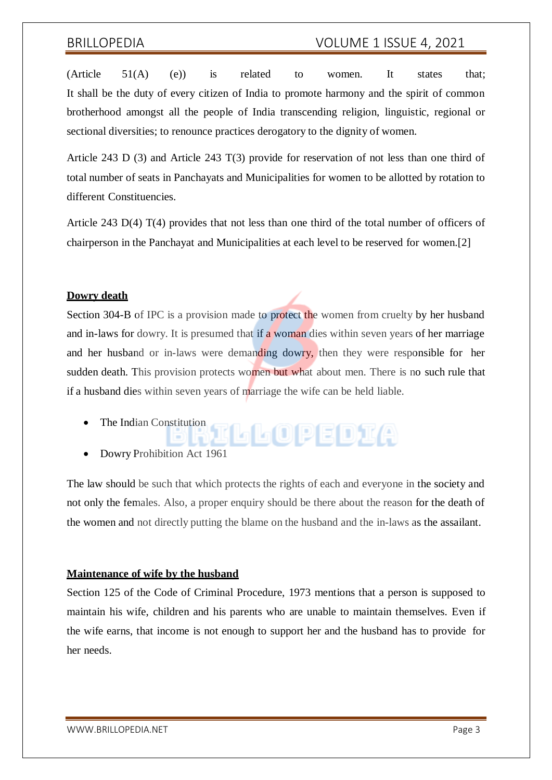(Article 51(A) (e)) is related to women. It states that; It shall be the duty of every citizen of India to promote harmony and the spirit of common brotherhood amongst all the people of India transcending religion, linguistic, regional or sectional diversities; to renounce practices derogatory to the dignity of women.

Article 243 D (3) and Article 243 T(3) provide for reservation of not less than one third of total number of seats in Panchayats and Municipalities for women to be allotted by rotation to different Constituencies.

Article 243 D(4) T(4) provides that not less than one third of the total number of officers of chairperson in the Panchayat and Municipalities at each level to be reserved for women.[2]

# **Dowry death**

[Section 304-B o](https://indiankanoon.org/doc/653797/)f IPC is a provision made to protect the women from cruelty by her husband and in-laws for dowry. It is presumed that if a woman dies within seven years of her marriage and her husband or in-laws were demanding dowry, then they were responsible for her sudden death. This provision protects women but what about men. There is no such rule that if a husband dies within seven years of marriage the wife can be held liable.

- The Indian Constitution (LLOPEDIA
- Dowry Prohibition Act 1961

The law should be such that which protects the rights of each and everyone in the society and not only the females. Also, a proper enquiry should be there about the reason for the death of the women and not directly putting the blame on the husband and the in-laws as the assailant.

# **Maintenance of wife by the husband**

[Section 125 o](https://indiankanoon.org/doc/1056396/)f the Code of [Criminal Procedure, 1973 m](https://indiankanoon.org/doc/1056396/)entions that a person is supposed to maintain his wife, children and his parents who are unable to maintain themselves. Even if the wife earns, that income is not enough to support her and the husband has to provide for her needs.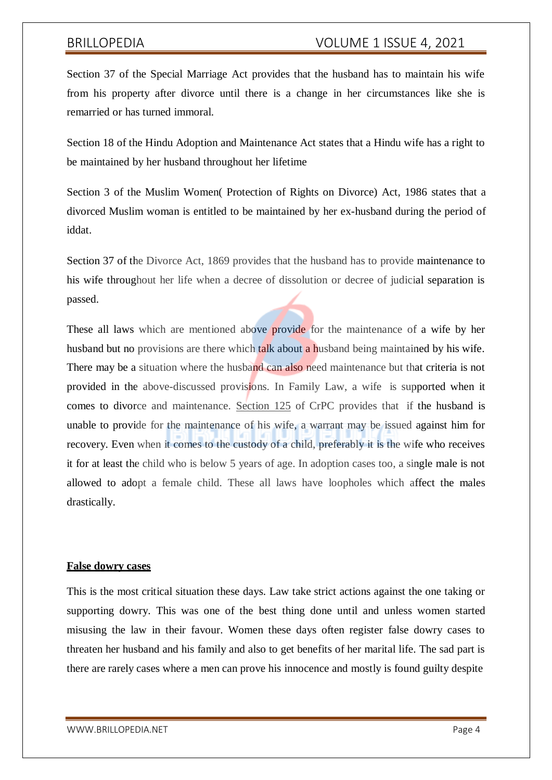[Section 37 o](https://indiankanoon.org/doc/1708335/)f the Special Marriage Act provides that the husband has to maintain his wife from his property after divorce until there is a change in her circumstances like she is remarried or has turned immoral.

[Section 18 o](https://indiankanoon.org/doc/1727980/)f the Hindu Adoption and Maintenance Act states that a Hindu wife has a right to be maintained by her husband throughout her lifetime

[Section 3 o](https://indiankanoon.org/doc/976981/)f the [Muslim Women\( Protection of Rights on Divorce\) Act, 1986 s](https://www.indiacode.nic.in/handle/123456789/1873?locale=en)tates that a divorced Muslim woman is entitled to be maintained by her ex-husband during the period of iddat.

[Section 37 o](https://indiankanoon.org/doc/1799408/#%3A~%3Atext%3D%E2%80%94%2037%20%5BWhere%20a%20decree%20of%2Cexceeding%20her%20own%20life%2C%20as%2C)f the [Divorce Act, 1869 p](https://indiankanoon.org/doc/806295/)rovides that the husband has to provide maintenance to his wife throughout her life when a decree of dissolution or decree of judicial separation is passed.

These all laws which are mentioned above provide for the maintenance of a wife by her husband but no provisions are there which talk about a husband being maintained by his wife. There may be a situation where the husband can also need maintenance but that criteria is not provided in the above-discussed provisions. In Family Law, a wife is supported when it comes to divorce and maintenance. [Section 125](https://indiankanoon.org/doc/1056396/) of CrPC provides that if the husband is unable to provide for the maintenance of his wife, a warrant may be issued against him for recovery. Even when it comes to the custody of a child, preferably it is the wife who receives it for at least the child who is below 5 years of age. In adoption cases too, a single male is not allowed to adopt a female child. These all laws have loopholes which affect the males drastically.

# **False dowry cases**

This is the most critical situation these days. Law take strict actions against the one taking or supporting dowry. This was one of the best thing done until and unless women started misusing the law in their favour. Women these days often register false dowry cases to threaten her husband and his family and also to get benefits of her marital life. The sad part is there are rarely cases where a men can prove his innocence and mostly is found guilty despite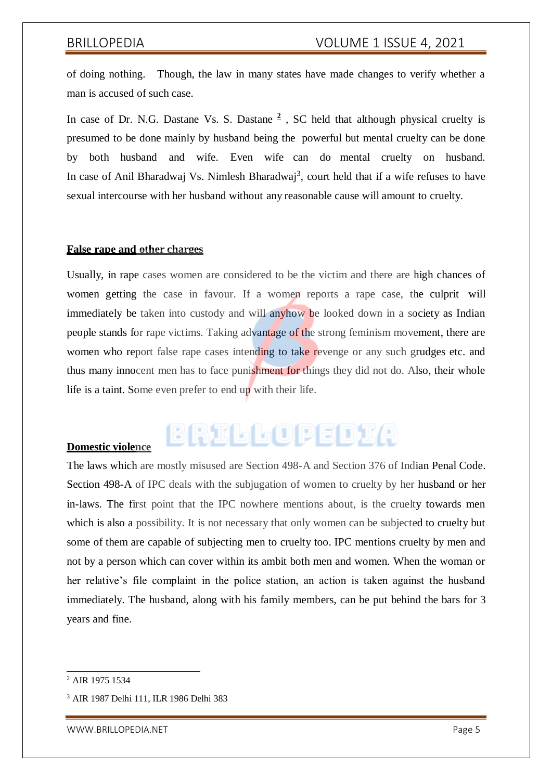of doing nothing. Though, the law in many states have made changes to verify whether a man is accused of such case.

In case of Dr. N.G. Dastane Vs. S. Dastane  $\frac{2}{3}$ , SC held that although physical cruelty is presumed to be done mainly by husband being the powerful but mental cruelty can be done by both husband and wife. Even wife can do mental cruelty on husband. In case of Anil Bharadwaj Vs. Nimlesh Bharadwaj<sup>3</sup>, court held that if a wife refuses to have sexual intercourse with her husband without any reasonable cause will amount to cruelty.

### **False rape and other charges**

Usually, in rape cases women are considered to be the victim and there are high chances of women getting the case in favour. If a women reports a rape case, the culprit will immediately be taken into custody and will anyhow be looked down in a society as Indian people stands for rape victims. Taking advantage of the strong feminism movement, there are women who report false rape cases intending to take revenge or any such grudges etc. and thus many innocent men has to face punishment for things they did not do. Also, their whole life is a taint. Some even prefer to end up with their life.

BRILLOPEDIA

### **Domestic violence**

The laws which are mostly misused are Section 498-A and Section 376 of [Indian Penal Code.](https://www.indiacode.nic.in/handle/123456789/2263?locale=en) Section 498-A of IPC deals with the subjugation of women to cruelty by her husband or her in-laws. The first point that the IPC nowhere mentions about, is the cruelty towards men which is also a possibility. It is not necessary that only women can be subjected to cruelty but some of them are capable of subjecting men to cruelty too. IPC mentions cruelty by men and not by a person which can cover within its ambit both men and women. When the woman or her relative's file complaint in the police station, an action is taken against the husband immediately. The husband, along with his family members, can be put behind the bars for 3 years and fine.

[WWW.BRILLOPEDIA.NET](http://www.brillopedia.net/)

<sup>2</sup> AIR 1975 1534

<sup>3</sup> AIR 1987 Delhi 111, ILR 1986 Delhi 383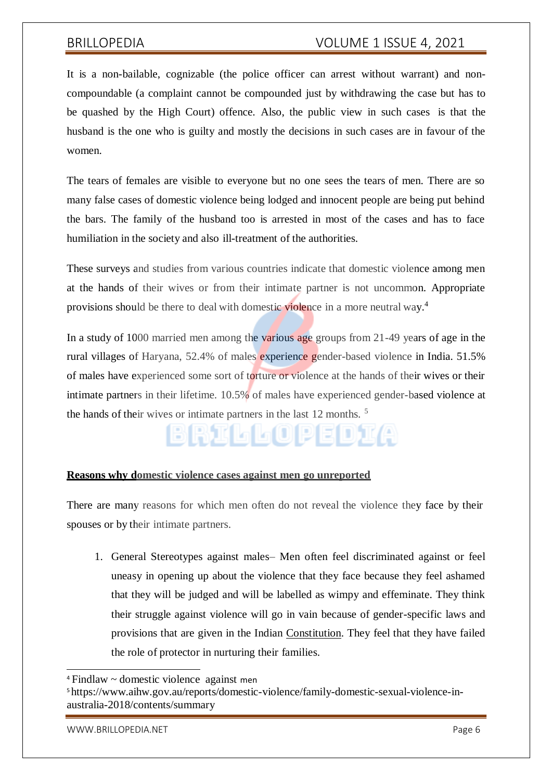It is a non-bailable, cognizable (the police officer can arrest without warrant) and noncompoundable (a complaint cannot be compounded just by withdrawing the case but has to be quashed by the High Court) offence. Also, the public view in such cases is that the husband is the one who is guilty and mostly the decisions in such cases are in favour of the women.

The tears of females are visible to everyone but no one sees the tears of men. There are so many false cases of domestic violence being lodged and innocent people are being put behind the bars. The family of the husband too is arrested in most of the cases and has to face humiliation in the society and also ill-treatment of the authorities.

These surveys and studies from various countries indicate that domestic violence among men at the hands of their wives or from their intimate partner is not uncommon. Appropriate provisions should be there to deal with domestic violence in a more neutral way.<sup>4</sup>

In a study of 1000 married men among the various age groups from 21-49 years of age in the rural villages of Haryana, [52.4% o](http://www.ijcm.org.in/article.asp?issn=0970-0218%3Byear%3D2019%3Bvolume%3D44%3Bissue%3D1%3Bspage%3D35%3Bepage%3D38%3Baulast%3DMalik)f males experience gender-based violence in India. 51.5% of males have experienced some sort of torture or violence at the hands of their wives or their intimate partners in their lifetime. [10.5% o](http://www.ijcm.org.in/article.asp?issn=0970-0218%3Byear%3D2019%3Bvolume%3D44%3Bissue%3D1%3Bspage%3D35%3Bepage%3D38%3Baulast%3DMalik)f males have experienced gender-based violence at the hands of their wives or intimate partners in the last 12 months.<sup>5</sup>

BRILLOPEDIA

# **Reasons why domestic violence cases against men go unreported**

There are many reasons for which men often do not reveal the violence they face by their spouses or by their intimate partners.

1. General Stereotypes against males– Men often feel discriminated against or feel uneasy in opening up about the violence that they face because they feel ashamed that they will be judged and will be labelled as wimpy and effeminate. They think their struggle against violence will go in vain because of gender-specific laws and provisions that are given in the Indian [Constitution. T](https://indiankanoon.org/doc/237570/)hey feel that they have failed the role of protector in nurturing their families.

<sup>4</sup> Findlaw ~ domestic violence against men

<sup>5</sup> https:[//www.aihw.gov.au/reports/domestic-violence/family-domestic-sexual-violence-in](http://www.aihw.gov.au/reports/domestic-violence/family-domestic-sexual-violence-in-)australia-2018/contents/summary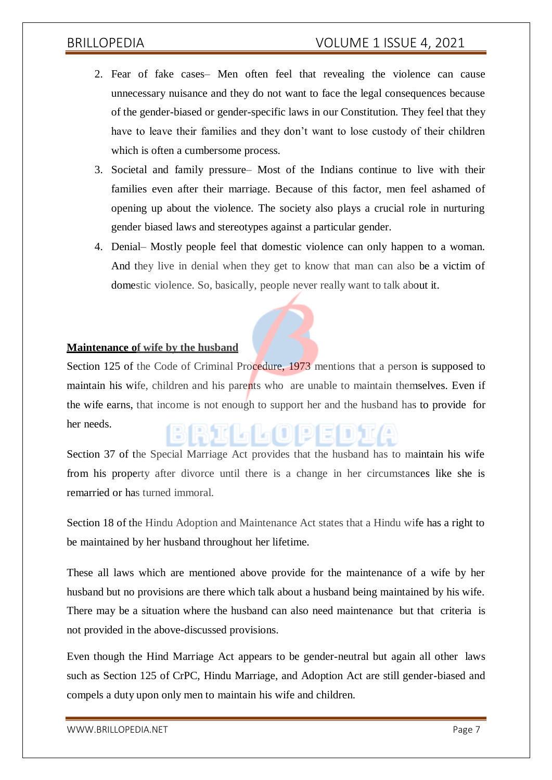- 2. Fear of fake cases– Men often feel that revealing the violence can cause unnecessary nuisance and they do not want to face the legal consequences because of the gender-biased or gender-specific laws in our Constitution. They feel that they have to leave their families and they don't want to lose custody of their children which is often a cumbersome process.
- 3. Societal and family pressure– Most of the Indians continue to live with their families even after their marriage. Because of this factor, men feel ashamed of opening up about the violence. The society also plays a crucial role in nurturing gender biased laws and stereotypes against a particular gender.
- 4. Denial– Mostly people feel that domestic violence can only happen to a woman. And they live in denial when they get to know that man can also be a victim of domestic violence. So, basically, people never really want to talk about it.

# **Maintenance of wife by the husband**

Section 125 of the [Code of Criminal Procedure, 1973 m](https://indiankanoon.org/doc/1056396/)entions that a person is supposed to maintain his wife, children and his parents who are unable to maintain themselves. Even if the wife earns, that income is not enough to support her and the husband has to provide for her needs.

Section 37 of the Special Marriage Act provides that the husband has to maintain his wife from his property after divorce until there is a change in her circumstances like she is remarried or has turned immoral.

Section 18 of the Hindu Adoption and Maintenance Act states that a Hindu wife has a right to be maintained by her husband throughout her lifetime.

These all laws which are mentioned above provide for the maintenance of a wife by her husband but no provisions are there which talk about a husband being maintained by his wife. There may be a situation where the husband can also need maintenance but that criteria is not provided in the above-discussed provisions.

Even though the Hind Marriage Act appears to be gender-neutral but again all other laws such as Section 125 of CrPC, Hindu Marriage, and Adoption Act are still gender-biased and compels a duty upon only men to maintain his wife and children.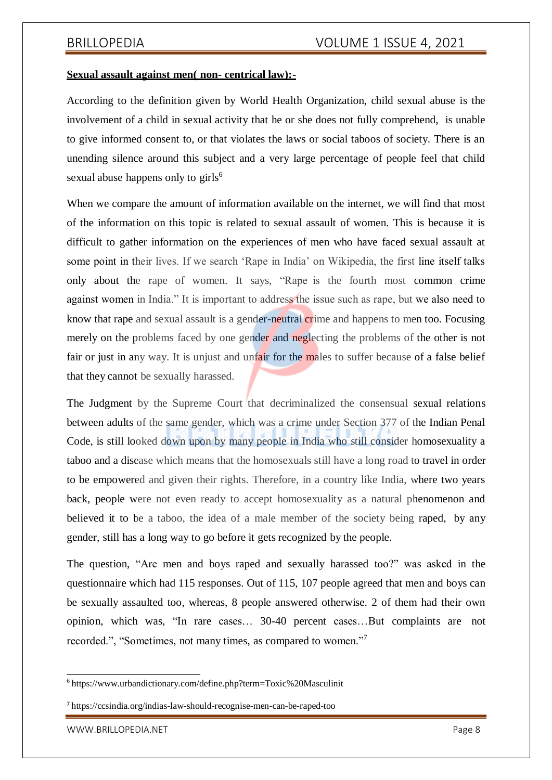## **Sexual assault against men( non- centrical law):-**

According to the definition given by World Health Organization, child sexual abuse is the involvement of a child in sexual activity that he or she does not fully comprehend, is unable to give informed consent to, or that violates the laws or social taboos of society. There is an unending silence around this subject and a very large percentage of people feel that child sexual abuse happens only to  $\text{girls}^6$ 

When we compare the amount of information available on the internet, we will find that most of the information on this topic is related to sexual assault of women. This is because it is difficult to gather information on the experiences of men who have faced sexual assault at some point in their lives. If we search 'Rape in India' on Wikipedia, the first line itself talks only about the rape of women. It says, "Rape is the fourth most common crime against women in India." It is important to address the issue such as rape, but we also need to know that rape and sexual assault is a gender-neutral crime and happens to men too. Focusing merely on the problems faced by one gender and neglecting the problems of the other is not fair or just in any way. It is unjust and unfair for the males to suffer because of a false belief that they cannot be sexually harassed.

The Judgment by the Supreme Court that decriminalized the consensual sexual relations between adults of the same gender, which was a crime under Section 377 of the Indian Penal Code, is still looked down upon by many people in India who still consider homosexuality a taboo and a disease which means that the homosexuals still have a long road to travel in order to be empowered and given their rights. Therefore, in a country like India, where two years back, people were not even ready to accept homosexuality as a natural phenomenon and believed it to be a taboo, the idea of a male member of the society being raped, by any gender, still has a long way to go before it gets recognized by the people.

The question, "Are men and boys raped and sexually harassed too?" was asked in the questionnaire which had 115 responses. Out of 115, 107 people agreed that men and boys can be sexually assaulted too, whereas, 8 people answered otherwise. 2 of them had their own opinion, which was, "In rare cases… 30-40 percent cases…But complaints are not recorded.", "Sometimes, not many times, as compared to women."<sup>7</sup>

<sup>6</sup> https:/[/www.urbandictionary.com/define.php?term=Toxic%20Masculinit](http://www.urbandictionary.com/define.php?term=Toxic%20Masculinit)

<sup>7</sup> https://ccsindia.org/indias-law-should-recognise-men-can-be-raped-too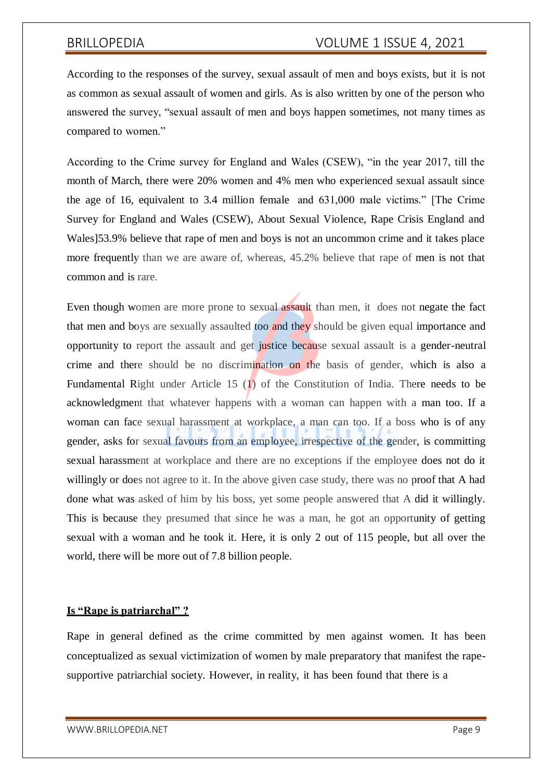According to the responses of the survey, sexual assault of men and boys exists, but it is not as common as sexual assault of women and girls. As is also written by one of the person who answered the survey, "sexual assault of men and boys happen sometimes, not many times as compared to women."

According to the Crime survey for England and Wales (CSEW), "in the year 2017, till the month of March, there were 20% women and 4% men who experienced sexual assault since the age of 16, equivalent to 3.4 million female and 631,000 male victims." [The Crime Survey for England and Wales (CSEW), About Sexual Violence, Rape Crisis England and Wales]53.9% believe that rape of men and boys is not an uncommon crime and it takes place more frequently than we are aware of, whereas, 45.2% believe that rape of men is not that common and is rare.

Even though women are more prone to sexual assault than men, it does not negate the fact that men and boys are sexually assaulted too and they should be given equal importance and opportunity to report the assault and get justice because sexual assault is a gender-neutral crime and there should be no discrimination on the basis of gender, which is also a Fundamental Right under Article 15 (1) of the Constitution of India. There needs to be acknowledgment that whatever happens with a woman can happen with a man too. If a woman can face sexual harassment at workplace, a man can too. If a boss who is of any gender, asks for sexual favours from an employee, irrespective of the gender, is committing sexual harassment at workplace and there are no exceptions if the employee does not do it willingly or does not agree to it. In the above given case study, there was no proof that A had done what was asked of him by his boss, yet some people answered that A did it willingly. This is because they presumed that since he was a man, he got an opportunity of getting sexual with a woman and he took it. Here, it is only 2 out of 115 people, but all over the world, there will be more out of 7.8 billion people.

# **Is "Rape is patriarchal" ?**

Rape in general defined as the crime committed by men against women. It has been conceptualized as sexual victimization of women by male preparatory that manifest the rapesupportive patriarchial society. However, in reality, it has been found that there is a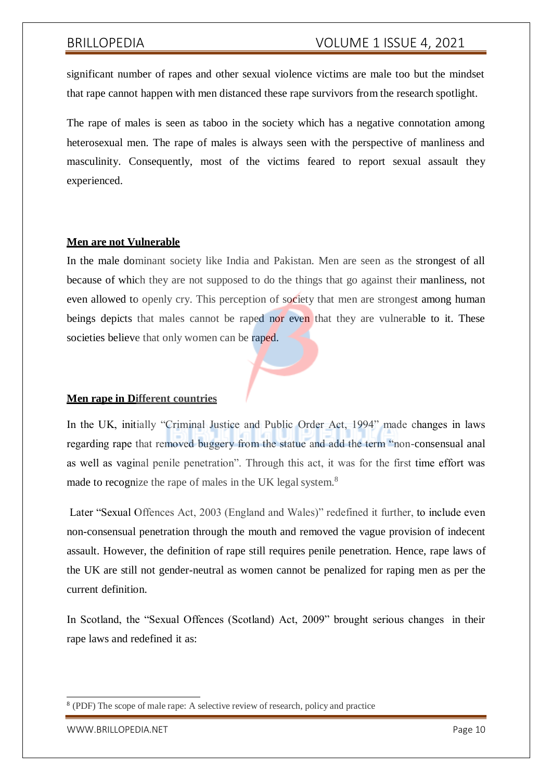significant number of rapes and other sexual violence victims are male too but the mindset that rape cannot happen with men distanced these rape survivors from the research spotlight.

The rape of males is seen as taboo in the society which has a negative connotation among heterosexual men. The rape of males is always seen with the perspective of manliness and masculinity. Consequently, most of the victims feared to report sexual assault they experienced.

# **Men are not Vulnerable**

In the male dominant society like India and Pakistan. Men are seen as the strongest of all because of which they are not supposed to do the things that go against their manliness, not even allowed to openly cry. This perception of society that men are strongest among human beings depicts that males cannot be raped nor even that they are vulnerable to it. These societies believe that only women can be raped.

# **Men rape in Different countries**

In the UK, initially "Criminal Justice and Public Order Act, 1994" made changes in laws regarding rape that removed buggery from the statue and add the term "non-consensual anal as well as vaginal penile penetration". Through this act, it was for the first time effort was made to recognize the rape of males in the UK legal system.<sup>8</sup>

Later "Sexual Offences Act, 2003 (England and Wales)" redefined it further, to include even non-consensual penetration through the mouth and removed the vague provision of indecent assault. However, the definition of rape still requires penile penetration. Hence, rape laws of the UK are still not gender-neutral as women cannot be penalized for raping men as per the current definition.

In Scotland, the "Sexual Offences (Scotland) Act, 2009" brought serious changes in their rape laws and redefined it as:

<sup>8</sup> (PDF) The scope of male rape: A selective review of research, policy and practice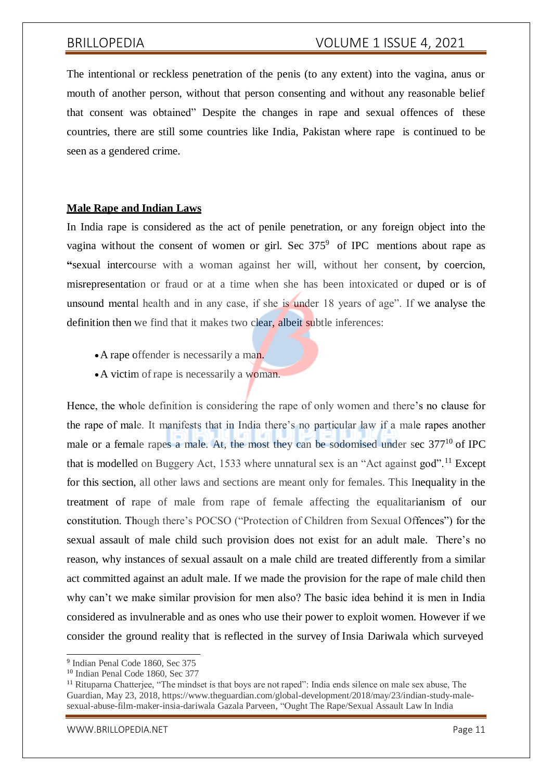The intentional or reckless penetration of the penis (to any extent) into the vagina, anus or mouth of another person, without that person consenting and without any reasonable belief that consent was obtained" Despite the changes in rape and sexual offences of these countries, there are still some countries like India, Pakistan where rape is continued to be seen as a gendered crime.

# **Male Rape and Indian Laws**

In India rape is considered as the act of penile penetration, or any foreign object into the vagina without the consent of women or girl. Sec  $375<sup>9</sup>$  of IPC mentions about rape as **"**sexual intercourse with a woman against her will, without her consent, by coercion, misrepresentation or fraud or at a time when she has been intoxicated or duped or is of unsound mental health and in any case, if she is under 18 years of age". If we analyse the definition then we find that it makes two clear, albeit subtle inferences:

- A rape offender is necessarily a man.
- A victim of rape is necessarily a woman.

Hence, the whole definition is considering the rape of only women and there's no clause for the rape of male. It manifests that in India there's no particular law if a male rapes another male or a female rapes a male. At, the most they can be sodomised under sec 377<sup>10</sup> of IPC that is modelled on Buggery Act, 1533 where unnatural sex is an "Act against god".<sup>11</sup> Except for this section, all other laws and sections are meant only for females. This Inequality in the treatment of rape of male from rape of female affecting the equalitarianism of our constitution. Though there's POCSO ("Protection of Children from Sexual Offences") for the sexual assault of male child such provision does not exist for an adult male. There's no reason, why instances of sexual assault on a male child are treated differently from a similar act committed against an adult male. If we made the provision for the rape of male child then why can't we make similar provision for men also? The basic idea behind it is men in India considered as invulnerable and as ones who use their power to exploit women. However if we consider the ground reality that is reflected in the survey of Insia Dariwala which surveyed

<sup>9</sup> Indian Penal Code 1860, Sec 375

<sup>&</sup>lt;sup>10</sup> Indian Penal Code 1860, Sec 377

<sup>11</sup> Rituparna Chatterjee, "The mindset is that boys are not raped": India ends silence on male sex abuse, The Guardian, May 23, 2018, https:/[/www.theguardian.com/global-development/2018/may/23/indian-study-male](http://www.theguardian.com/global-development/2018/may/23/indian-study-male-)sexual-abuse-film-maker-insia-dariwala Gazala Parveen, "Ought The Rape/Sexual Assault Law In India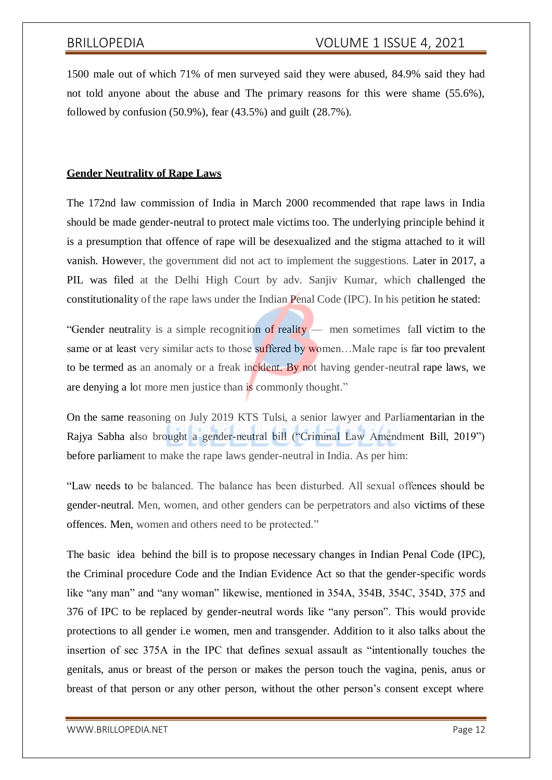1500 male out of which 71% of men surveyed said they were abused, 84.9% said they had not told anyone about the abuse and The primary reasons for this were shame (55.6%), followed by confusion (50.9%), fear (43.5%) and guilt (28.7%).

# **Gender Neutrality of Rape Laws**

The 172nd law commission of India in March 2000 recommended that rape laws in India should be made gender-neutral to protect male victims too. The underlying principle behind it is a presumption that offence of rape will be desexualized and the stigma attached to it will vanish. However, the government did not act to implement the suggestions. Later in 2017, a PIL was filed at the Delhi High Court by adv. Sanjiv Kumar, which challenged the constitutionality of the rape laws under the Indian Penal Code (IPC). In his petition he stated:

"Gender neutrality is a simple recognition of reality — men sometimes fall victim to the same or at least very similar acts to those suffered by women...Male rape is far too prevalent to be termed as an anomaly or a freak incident. By not having gender-neutral rape laws, we are denying a lot more men justice than is commonly thought."

On the same reasoning on July 2019 KTS Tulsi, a senior lawyer and Parliamentarian in the Rajya Sabha also brought a gender-neutral bill ("Criminal Law Amendment Bill, 2019") before parliament to make the rape laws gender-neutral in India. As per him:

"Law needs to be balanced. The balance has been disturbed. All sexual offences should be gender-neutral. Men, women, and other genders can be perpetrators and also victims of these offences. Men, women and others need to be protected."

The basic idea behind the bill is to propose necessary changes in Indian Penal Code (IPC), the Criminal procedure Code and the Indian Evidence Act so that the gender-specific words like "any man" and "any woman" likewise, mentioned in 354A, 354B, 354C, 354D, 375 and 376 of IPC to be replaced by gender-neutral words like "any person". This would provide protections to all gender i.e women, men and transgender. Addition to it also talks about the insertion of sec 375A in the IPC that defines sexual assault as "intentionally touches the genitals, anus or breast of the person or makes the person touch the vagina, penis, anus or breast of that person or any other person, without the other person's consent except where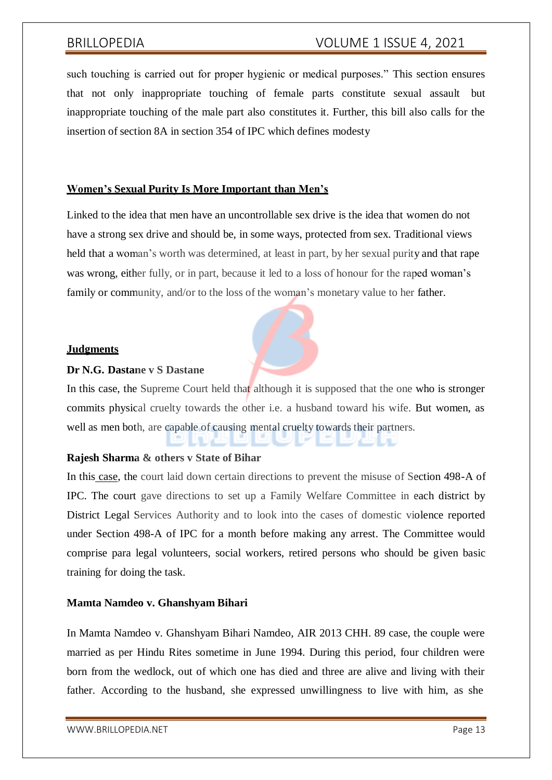such touching is carried out for proper hygienic or medical purposes." This section ensures that not only inappropriate touching of female parts constitute sexual assault but inappropriate touching of the male part also constitutes it. Further, this bill also calls for the insertion of section 8A in section 354 of IPC which defines modesty

# **Women's Sexual Purity Is More Important than Men's**

Linked to the idea that men have an uncontrollable sex drive is the idea that women do not have a strong sex drive and should be, in some ways, protected from sex. Traditional views held that a woman's worth was determined, at least in part, by her sexual purity and that rape was wrong, either fully, or in part, because it led to a loss of honour for the raped woman's family or community, and/or to the loss of the woman's monetary value to her father.

## **Judgments**

## **Dr N.G. Dastane v S Dastane**

In this [case, t](https://indiankanoon.org/doc/62494/)he Supreme Court held that although it is supposed that the one who is stronger commits physical cruelty towards the other i.e. a husband toward his wife. But women, as well as men both, are capable of causing mental cruelty towards their partners.

# **Rajesh Sharma & others v State of Bihar**

In this [case, t](https://indiankanoon.org/doc/182220573/)he court laid down certain directions to prevent the misuse of Section 498-A of IPC. The court gave directions to set up a Family Welfare Committee in each district by District Legal Services Authority and to look into the cases of domestic violence reported under Section 498-A of IPC for a month before making any arrest. The Committee would comprise para legal volunteers, social workers, retired persons who should be given basic training for doing the task.

# **Mamta Namdeo v. Ghanshyam Bihari**

In Mamta Namdeo v. Ghanshyam Bihari Namdeo, AIR 2013 CHH. 89 case, the couple were married as per Hindu Rites sometime in June 1994. During this period, four children were born from the wedlock, out of which one has died and three are alive and living with their father. According to the husband, she expressed unwillingness to live with him, as she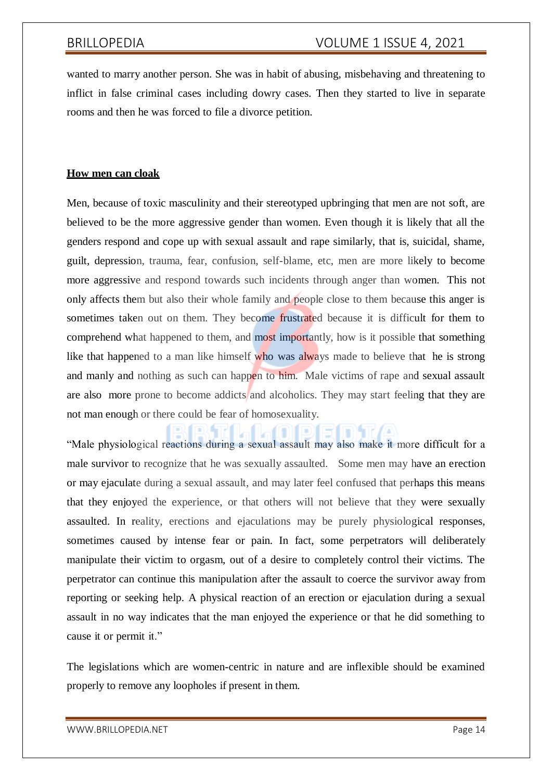wanted to marry another person. She was in habit of abusing, misbehaving and threatening to inflict in false criminal cases including dowry cases. Then they started to live in separate rooms and then he was forced to file a divorce petition.

# **How men can cloak**

Men, because of toxic masculinity and their stereotyped upbringing that men are not soft, are believed to be the more aggressive gender than women. Even though it is likely that all the genders respond and cope up with sexual assault and rape similarly, that is, suicidal, shame, guilt, depression, trauma, fear, confusion, self-blame, etc, men are more likely to become more aggressive and respond towards such incidents through anger than women. This not only affects them but also their whole family and people close to them because this anger is sometimes taken out on them. They become frustrated because it is difficult for them to comprehend what happened to them, and most importantly, how is it possible that something like that happened to a man like himself who was always made to believe that he is strong and manly and nothing as such can happen to him. Male victims of rape and sexual assault are also more prone to become addicts and alcoholics. They may start feeling that they are not man enough or there could be fear of homosexuality.

"Male physiological reactions during a sexual assault may also make it more difficult for a male survivor to recognize that he was sexually assaulted. Some men may have an erection or may ejaculate during a sexual assault, and may later feel confused that perhaps this means that they enjoyed the experience, or that others will not believe that they were sexually assaulted. In reality, erections and ejaculations may be purely physiological responses, sometimes caused by intense fear or pain. In fact, some perpetrators will deliberately manipulate their victim to orgasm, out of a desire to completely control their victims. The perpetrator can continue this manipulation after the assault to coerce the survivor away from reporting or seeking help. A physical reaction of an erection or ejaculation during a sexual assault in no way indicates that the man enjoyed the experience or that he did something to cause it or permit it."

The legislations which are women-centric in nature and are inflexible should be examined properly to remove any loopholes if present in them.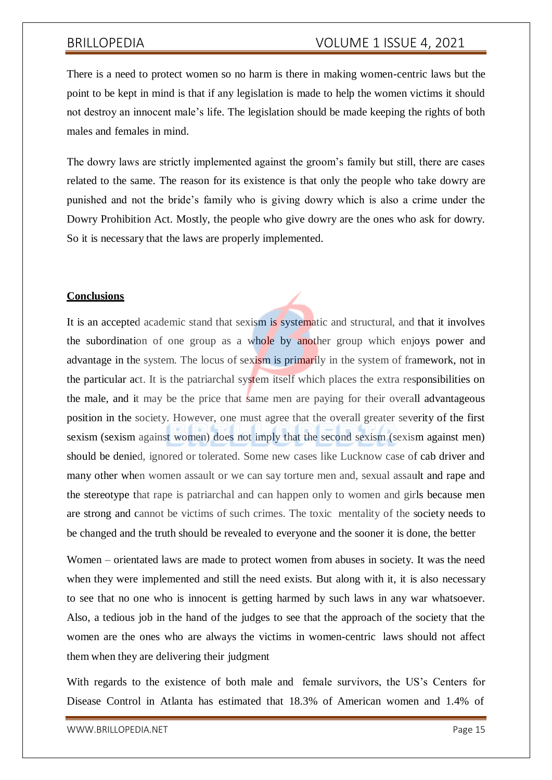There is a need to protect women so no harm is there in making women-centric laws but the point to be kept in mind is that if any legislation is made to help the women victims it should not destroy an innocent male's life. The legislation should be made keeping the rights of both males and females in mind.

The dowry laws are strictly implemented against the groom's family but still, there are cases related to the same. The reason for its existence is that only the people who take dowry are punished and not the bride's family who is giving dowry which is also a crime under the Dowry Prohibition Act. Mostly, the people who give dowry are the ones who ask for dowry. So it is necessary that the laws are properly implemented.

# **Conclusions**

It is an accepted academic stand that sexism is systematic and structural, and that it involves the subordination of one group as a whole by another group which enjoys power and advantage in the system. The locus of sexism is primarily in the system of framework, not in the particular act. It is the patriarchal system itself which places the extra responsibilities on the male, and it may be the price that same men are paying for their overall advantageous position in the society. However, one must agree that the overall greater severity of the first sexism (sexism against women) does not imply that the second sexism (sexism against men) should be denied, ignored or tolerated. Some new cases like Lucknow case of cab driver and many other when women assault or we can say torture men and, sexual assault and rape and the stereotype that rape is patriarchal and can happen only to women and girls because men are strong and cannot be victims of such crimes. The toxic mentality of the society needs to be changed and the truth should be revealed to everyone and the sooner it is done, the better

Women – orientated laws are made to protect women from abuses in society. It was the need when they were implemented and still the need exists. But along with it, it is also necessary to see that no one who is innocent is getting harmed by such laws in any war whatsoever. Also, a tedious job in the hand of the judges to see that the approach of the society that the women are the ones who are always the victims in women-centric laws should not affect them when they are delivering their judgment

With regards to the existence of both male and female survivors, the US's Centers for Disease Control in Atlanta has estimated that 18.3% of American women and 1.4% of